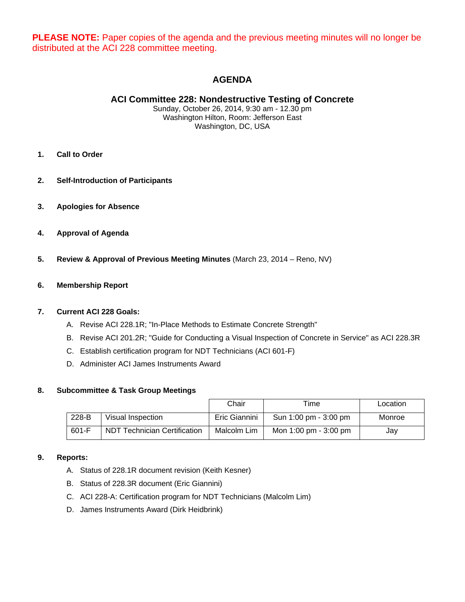**PLEASE NOTE:** Paper copies of the agenda and the previous meeting minutes will no longer be distributed at the ACI 228 committee meeting.

# **AGENDA**

# **ACI Committee 228: Nondestructive Testing of Concrete**

Sunday, October 26, 2014, 9:30 am - 12.30 pm Washington Hilton, Room: Jefferson East Washington, DC, USA

- **1. Call to Order**
- **2. Self-Introduction of Participants**
- **3. Apologies for Absence**
- **4. Approval of Agenda**
- **5. Review & Approval of Previous Meeting Minutes** (March 23, 2014 Reno, NV)

## **6. Membership Report**

#### **7. Current ACI 228 Goals:**

- A. Revise ACI 228.1R; "In-Place Methods to Estimate Concrete Strength"
- B. Revise ACI 201.2R; "Guide for Conducting a Visual Inspection of Concrete in Service" as ACI 228.3R
- C. Establish certification program for NDT Technicians (ACI 601-F)
- D. Administer ACI James Instruments Award

#### **8. Subcommittee & Task Group Meetings**

|         |                                   | Chair         | Time                  | Location |
|---------|-----------------------------------|---------------|-----------------------|----------|
| 228-B   | Visual Inspection                 | Eric Giannini | Sun 1:00 pm - 3:00 pm | Monroe   |
| $601-F$ | Technician Certification<br>NDT 1 | Malcolm Lim   | Mon 1:00 pm - 3:00 pm | Jay      |

## **9. Reports:**

- A. Status of 228.1R document revision (Keith Kesner)
- B. Status of 228.3R document (Eric Giannini)
- C. ACI 228-A: Certification program for NDT Technicians (Malcolm Lim)
- D. James Instruments Award (Dirk Heidbrink)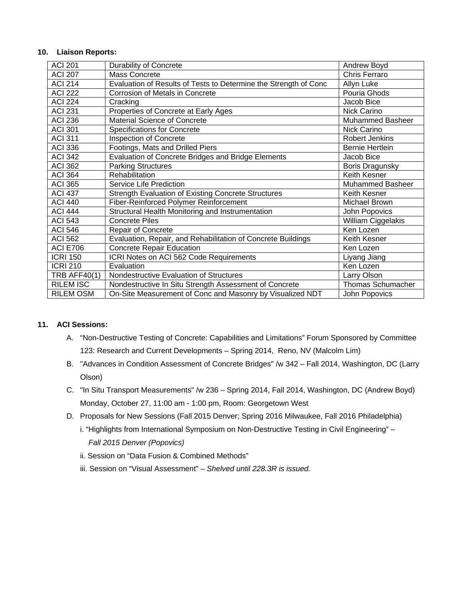#### **10. Liaison Reports:**

| <b>ACI 201</b>      | <b>Durability of Concrete</b>                                    | Andrew Boyd              |
|---------------------|------------------------------------------------------------------|--------------------------|
| <b>ACI 207</b>      | Mass Concrete                                                    | <b>Chris Ferraro</b>     |
| <b>ACI 214</b>      | Evaluation of Results of Tests to Determine the Strength of Conc | Allyn Luke               |
| <b>ACI 222</b>      | Corrosion of Metals in Concrete                                  | Pouria Ghods             |
| <b>ACI 224</b>      | Cracking                                                         | Jacob Bice               |
| <b>ACI 231</b>      | Properties of Concrete at Early Ages                             | Nick Carino              |
| <b>ACI 236</b>      | <b>Material Science of Concrete</b>                              | <b>Muhammed Basheer</b>  |
| <b>ACI 301</b>      | <b>Specifications for Concrete</b>                               | Nick Carino              |
| <b>ACI 311</b>      | Inspection of Concrete                                           | <b>Robert Jenkins</b>    |
| <b>ACI 336</b>      | Footings, Mats and Drilled Piers                                 | <b>Bernie Hertlein</b>   |
| <b>ACI 342</b>      | Evaluation of Concrete Bridges and Bridge Elements               | Jacob Bice               |
| <b>ACI 362</b>      | <b>Parking Structures</b>                                        | <b>Boris Dragunsky</b>   |
| <b>ACI 364</b>      | Rehabilitation                                                   | Keith Kesner             |
| <b>ACI 365</b>      | Service Life Prediction                                          | <b>Muhammed Basheer</b>  |
| <b>ACI 437</b>      | <b>Strength Evaluation of Existing Concrete Structures</b>       | Keith Kesner             |
| <b>ACI 440</b>      | Fiber-Reinforced Polymer Reinforcement                           | Michael Brown            |
| <b>ACI 444</b>      | Structural Health Monitoring and Instrumentation                 | John Popovics            |
| <b>ACI 543</b>      | <b>Concrete Piles</b>                                            | William Ciggelakis       |
| <b>ACI 546</b>      | Repair of Concrete                                               | Ken Lozen                |
| <b>ACI 562</b>      | Evaluation, Repair, and Rehabilitation of Concrete Buildings     | Keith Kesner             |
| <b>ACI E706</b>     | <b>Concrete Repair Education</b>                                 | Ken Lozen                |
| <b>ICRI 150</b>     | ICRI Notes on ACI 562 Code Requirements                          | Liyang Jiang             |
| <b>ICRI 210</b>     | Evaluation                                                       | Ken Lozen                |
| <b>TRB AFF40(1)</b> | Nondestructive Evaluation of Structures                          | Larry Olson              |
| <b>RILEM ISC</b>    | Nondestructive In Situ Strength Assessment of Concrete           | <b>Thomas Schumacher</b> |
| <b>RILEM OSM</b>    | On-Site Measurement of Conc and Masonry by Visualized NDT        | John Popovics            |

# **11. ACI Sessions:**

- A. "Non-Destructive Testing of Concrete: Capabilities and Limitations" Forum Sponsored by Committee 123: Research and Current Developments – Spring 2014, Reno, NV (Malcolm Lim)
- B. "Advances in Condition Assessment of Concrete Bridges" /w 342 Fall 2014, Washington, DC (Larry Olson)
- C. "In Situ Transport Measurements" /w 236 Spring 2014, Fall 2014, Washington, DC (Andrew Boyd) Monday, October 27, 11:00 am - 1:00 pm, Room: Georgetown West
- D. Proposals for New Sessions (Fall 2015 Denver; Spring 2016 Milwaukee, Fall 2016 Philadelphia)
	- i. "Highlights from International Symposium on Non-Destructive Testing in Civil Engineering" *Fall 2015 Denver (Popovics)*
	- ii. Session on "Data Fusion & Combined Methods"
	- iii. Session on "Visual Assessment"  *Shelved until 228.3R is issued.*